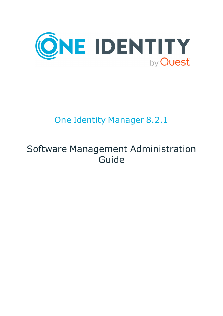

## One Identity Manager 8.2.1

## Software Management Administration Guide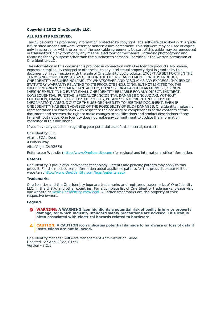#### **Copyright 2022 One Identity LLC.**

#### **ALL RIGHTS RESERVED.**

This guide contains proprietary information protected by copyright. The software described in this guide is furnished under a software license or nondisclosure agreement. This software may be used or copied only in accordance with the terms of the applicable agreement. No part of this guide may be reproduced or transmitted in any form or by any means, electronic or mechanical, including photocopying and recording for any purpose other than the purchaser's personal use without the written permission of One Identity LLC .

The information in this document is provided in connection with One Identity products. No license, express or implied, by estoppel or otherwise, to any intellectual property right is granted by this document or in connection with the sale of One Identity LLC products. EXCEPT AS SET FORTH IN THE TERMS AND CONDITIONS AS SPECIFIED IN THE LICENSE AGREEMENT FOR THIS PRODUCT, ONE IDENTITY ASSUMES NO LIABILITY WHATSOEVER AND DISCLAIMS ANY EXPRESS, IMPLIED OR STATUTORY WARRANTY RELATING TO ITS PRODUCTS INCLUDING, BUT NOT LIMITED TO, THE IMPLIED WARRANTY OF MERCHANTABILITY, FITNESS FOR A PARTICULAR PURPOSE, OR NON-INFRINGEMENT. IN NO EVENT SHALL ONE IDENTITY BE LIABLE FOR ANY DIRECT, INDIRECT, CONSEQUENTIAL, PUNITIVE, SPECIAL OR INCIDENTAL DAMAGES (INCLUDING, WITHOUT LIMITATION, DAMAGES FOR LOSS OF PROFITS, BUSINESS INTERRUPTION OR LOSS OF INFORMATION) ARISING OUT OF THE USE OR INABILITY TO USE THIS DOCUMENT, EVEN IF ONE IDENTITY HAS BEEN ADVISED OF THE POSSIBILITY OF SUCH DAMAGES. One Identity makes no representations or warranties with respect to the accuracy or completeness of the contents of this document and reserves the right to make changes to specifications and product descriptions at any time without notice. One Identity does not make any commitment to update the information contained in this document.

If you have any questions regarding your potential use of this material, contact:

One Identity LLC. Attn: LEGAL Dept 4 Polaris Way Aliso Viejo, CA 92656

Refer to our Web site ([http://www.OneIdentity.com](http://www.oneidentity.com/)) for regional and international office information.

#### **Patents**

One Identity is proud of our advanced technology. Patents and pending patents may apply to this product. For the most current information about applicable patents for this product, please visit our website at [http://www.OneIdentity.com/legal/patents.aspx](http://www.oneidentity.com/legal/patents.aspx).

#### **Trademarks**

One Identity and the One Identity logo are trademarks and registered trademarks of One Identity LLC. in the U.S.A. and other countries. For a complete list of One Identity trademarks, please visit our website at [www.OneIdentity.com/legal](http://www.oneidentity.com/legal). All other trademarks are the property of their respective owners.

#### **Legend**

**WARNING: A WARNING icon highlights a potential risk of bodily injury or property damage, for which industry-standard safety precautions are advised. This icon is often associated with electrical hazards related to hardware.**

**CAUTION: A CAUTION icon indicates potential damage to hardware or loss of data if** A **instructions are not followed.**

One Identity Manager Software Management Administration Guide Updated - 27 April 2022, 01:34 Version - 8.2.1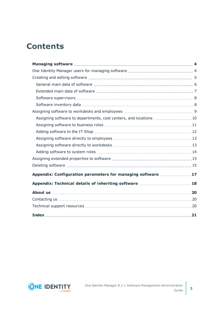## **Contents**

| Assigning software to departments, cost centers, and locations 10 |  |
|-------------------------------------------------------------------|--|
|                                                                   |  |
|                                                                   |  |
|                                                                   |  |
|                                                                   |  |
|                                                                   |  |
|                                                                   |  |
|                                                                   |  |
| Appendix: Configuration parameters for managing software  17      |  |
|                                                                   |  |
|                                                                   |  |
|                                                                   |  |
|                                                                   |  |
|                                                                   |  |

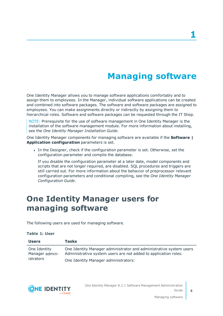## **Managing software**

<span id="page-3-0"></span>One Identity Manager allows you to manage software applications comfortably and to assign them to employees. In the Manager, individual software applications can be created and combined into software packages. The software and software packages are assigned to employees. You can make assignments directly or indirectly by assigning them to hierarchical roles. Software and software packages can be requested through the IT Shop.

NOTE: Prerequisite for the use of software management in One Identity Manager is the installation of the software management module. For more information about installing, see the *One Identity Manager Installation Guide*.

One Identity Manager components for managing software are available if the **Software | Application configuration** parameters is set.

In the Designer, check if the configuration parameter is set. Otherwise, set the configuration parameter and compile the database.

If you disable the configuration parameter at a later date, model components and scripts that are not longer required, are disabled. SQL procedures and triggers are still carried out. For more information about the behavior of preprocessor relevant configuration parameters and conditional compiling, see the *One Identity Manager Configuration Guide*.

## <span id="page-3-1"></span>**One Identity Manager users for managing software**

The following users are used for managing software.

#### **Table 1: User**

| <b>Users</b>                                | Tasks                                                                                                                                 |
|---------------------------------------------|---------------------------------------------------------------------------------------------------------------------------------------|
| One Identity<br>Manager admin-<br>istrators | One Identity Manager administrator and administrative system users<br>Administrative system users are not added to application roles. |
|                                             | One Identity Manager administrators:                                                                                                  |



One Identity Manager 8.2.1 Software Management Administration Guide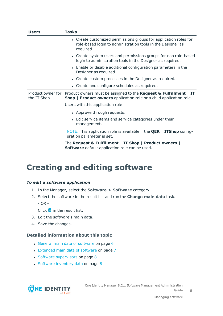| <b>Users</b> | <b>Tasks</b>                                                                                                                                                      |
|--------------|-------------------------------------------------------------------------------------------------------------------------------------------------------------------|
|              | • Create customized permissions groups for application roles for<br>role-based login to administration tools in the Designer as<br>required.                      |
|              | • Create system users and permissions groups for non role-based<br>login to administration tools in the Designer as required.                                     |
|              | • Enable or disable additional configuration parameters in the<br>Designer as required.                                                                           |
|              | • Create custom processes in the Designer as required.                                                                                                            |
|              | • Create and configure schedules as required.                                                                                                                     |
| the IT Shop  | Product owner for Product owners must be assigned to the Request & Fulfillment   IT<br><b>Shop   Product owners</b> application role or a child application role. |
|              | Users with this application role:                                                                                                                                 |
|              | • Approve through requests.                                                                                                                                       |
|              | • Edit service items and service categories under their<br>management.                                                                                            |
|              | NOTE: This application role is available if the <b>QER   ITShop</b> config-<br>uration parameter is set.                                                          |
|              | The Request & Fulfillment   IT Shop   Product owners  <br>Software default application role can be used.                                                          |

### <span id="page-4-0"></span>**Creating and editing software**

#### *To edit a software application*

- 1. In the Manager, select the **Software > Software** category.
- 2. Select the software in the result list and run the **Change main data** task.

- OR -

- Click  $\frac{1}{x}$  in the result list.
- 3. Edit the software's main data.
- 4. Save the changes.

#### **Detailed information about this topic**

- General main data of [software](#page-5-0) on page 6
- [Extended](#page-6-0) main data of software on page 7
- $\cdot$  Software [supervisors](#page-7-0) on page 8
- Software [inventory](#page-7-1) data on page 8



One Identity Manager 8.2.1 Software Management Administration Guide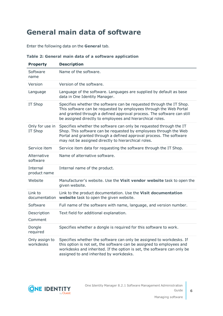## <span id="page-5-0"></span>**General main data of software**

Enter the following data on the **General** tab.

| Table 2: General main data of a software application |  |
|------------------------------------------------------|--|
|------------------------------------------------------|--|

| <b>Property</b>             | <b>Description</b>                                                                                                                                                                                                                                                                |
|-----------------------------|-----------------------------------------------------------------------------------------------------------------------------------------------------------------------------------------------------------------------------------------------------------------------------------|
| Software<br>name            | Name of the software.                                                                                                                                                                                                                                                             |
| Version                     | Version of the software.                                                                                                                                                                                                                                                          |
| Language                    | Language of the software. Languages are supplied by default as base<br>data in One Identity Manager.                                                                                                                                                                              |
| IT Shop                     | Specifies whether the software can be requested through the IT Shop.<br>This software can be requested by employees through the Web Portal<br>and granted through a defined approval process. The software can still<br>be assigned directly to employees and hierarchical roles. |
| Only for use in<br>IT Shop  | Specifies whether the software can only be requested through the IT<br>Shop. This software can be requested by employees through the Web<br>Portal and granted through a defined approval process. The software<br>may not be assigned directly to hierarchical roles.            |
| Service item                | Service item data for requesting the software through the IT Shop.                                                                                                                                                                                                                |
| Alternative<br>software     | Name of alternative software.                                                                                                                                                                                                                                                     |
| Internal<br>product name    | Internal name of the product.                                                                                                                                                                                                                                                     |
| Website                     | Manufacturer's website. Use the Visit vendor website task to open the<br>given website.                                                                                                                                                                                           |
| Link to<br>documentation    | Link to the product documentation. Use the Visit documentation<br>website task to open the given website.                                                                                                                                                                         |
| Software                    | Full name of the software with name, language, and version number.                                                                                                                                                                                                                |
| Description<br>Comment      | Text field for additional explanation.                                                                                                                                                                                                                                            |
| Dongle<br>required          | Specifies whether a dongle is required for this software to work.                                                                                                                                                                                                                 |
| Only assign to<br>workdesks | Specifies whether the software can only be assigned to workdesks. If<br>this option is not set, the software can be assigned to employees and<br>workdesks and inherited. If the option is set, the software can only be<br>assigned to and inherited by workdesks.               |

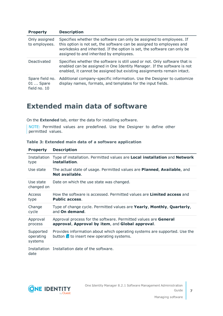| <b>Property</b>                               | <b>Description</b>                                                                                                                                                                                                                                                  |
|-----------------------------------------------|---------------------------------------------------------------------------------------------------------------------------------------------------------------------------------------------------------------------------------------------------------------------|
| Only assigned<br>to employees.                | Specifies whether the software can only be assigned to employees. If<br>this option is not set, the software can be assigned to employees and<br>workdesks and inherited. If the option is set, the software can only be<br>assigned to and inherited by employees. |
| Deactivated                                   | Specifies whether the software is still used or not. Only software that is<br>enabled can be assigned in One Identity Manager. If the software is not<br>enabled, it cannot be assigned but existing assignments remain intact.                                     |
| Spare field no.<br>$01$ Spare<br>field no. 10 | Additional company-specific information. Use the Designer to customize<br>display names, formats, and templates for the input fields.                                                                                                                               |

### <span id="page-6-0"></span>**Extended main data of software**

On the **Extended** tab, enter the data for installing software.

NOTE: Permitted values are predefined. Use the Designer to define other permitted values.

| <b>Property</b>                   | <b>Description</b>                                                                                                                |
|-----------------------------------|-----------------------------------------------------------------------------------------------------------------------------------|
| Installation<br>type              | Type of installation. Permitted values are Local installation and Network<br>installation.                                        |
| Use state                         | The actual state of usage. Permitted values are <b>Planned, Available</b> , and<br>Not available.                                 |
| Use state<br>changed on           | Date on which the use state was changed.                                                                                          |
| Access<br>type                    | How the software is accessed. Permitted values are <b>Limited access</b> and<br><b>Public access.</b>                             |
| Change<br>cycle                   | Type of change cycle. Permitted values are Yearly, Monthly, Quarterly,<br>and On demand.                                          |
| Approval<br>process               | Approval process for the software. Permitted values are <b>General</b><br>approval, Approval by item, and Global approval.        |
| Supported<br>operating<br>systems | Provides information about which operating systems are supported. Use the<br>button $\mathbf{f}$ to insert new operating systems. |
| date                              | Installation Installation date of the software.                                                                                   |

#### **Table 3: Extended main data of a software application**

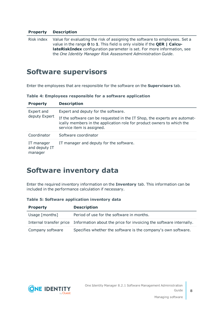#### **Property Description**

Risk index Value for evaluating the risk of assigning the software to employees. Set a value in the range **0** to **1**. This field is only visible if the **QER | CalculateRiskIndex** configuration parameter is set. For more information, see the *One Identity Manager Risk Assessment Administration Guide*.

### <span id="page-7-0"></span>**Software supervisors**

Enter the employees that are responsible for the software on the **Supervisors** tab.

**Table 4: Employees responsible for a software application**

| <b>Property</b>                        | <b>Description</b>                                                                                                                                                               |
|----------------------------------------|----------------------------------------------------------------------------------------------------------------------------------------------------------------------------------|
| Expert and<br>deputy Expert            | Expert and deputy for the software.                                                                                                                                              |
|                                        | If the software can be requested in the IT Shop, the experts are automat-<br>ically members in the application role for product owners to which the<br>service item is assigned. |
| Coordinator                            | Software coordinator                                                                                                                                                             |
| IT manager<br>and deputy IT<br>manager | IT manager and deputy for the software.                                                                                                                                          |

### <span id="page-7-1"></span>**Software inventory data**

Enter the required inventory information on the **Inventory** tab. This information can be included in the performance calculation if necessary.

**Table 5: Software application inventory data**

| <b>Property</b>  | <b>Description</b>                                                                         |
|------------------|--------------------------------------------------------------------------------------------|
| Usage [months]   | Period of use for the software in months.                                                  |
|                  | Internal transfer price Information about the price for invoicing the software internally. |
| Company software | Specifies whether the software is the company's own software.                              |

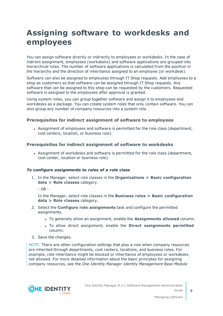## <span id="page-8-0"></span>**Assigning software to workdesks and employees**

You can assign software directly or indirectly to employees or workdesks. In the case of indirect assignment, employees (workdesks) and software applications are grouped into hierarchical roles. The number of software applications is calculated from the position in the hierarchy and the direction of inheritance assigned to an employee (or workdesk).

Software can also be assigned to employees through IT Shop requests. Add employees to a shop as customers so that software can be assigned through IT Shop requests. Any software that can be assigned to this shop can be requested by the customers. Requested software is assigned to the employees after approval is granted.

Using system roles, you can group together software and assign it to employees and workdesks as a package. You can create system roles that only contain software. You can also group any number of company resources into a system role.

#### **Prerequisites for indirect assignment of software to employees**

<sup>l</sup> Assignment of employees and software is permitted for the role class (department, cost centers, location, or business role).

#### **Prerequisites for indirect assignment of software to workdesks**

• Assignment of workdesks and software is permitted for the role class (department, cost center, location or business role).

#### *To configure assignments to roles of a role class*

1. In the Manager, select role classes in the **Organizations > Basic configuration data > Role classes** category.

 $-$  OR  $-$ 

In the Manager, select role classes in the **Business roles > Basic configuration data > Role classes** category.

- 2. Select the **Configure role assignments** task and configure the permitted assignments.
	- <sup>l</sup> To generally allow an assignment, enable the **Assignments allowed** column.
	- <sup>l</sup> To allow direct assignment, enable the **Direct assignments permitted** column.
- 3. Save the changes.

NOTE: There are other configuration settings that play a role when company resources are inherited through departments, cost centers, locations, and business roles. For example, role inheritance might be blocked or inheritance of employees or workdesks not allowed. For more detailed information about the basic principles for assigning company resources, see the *One Identity Manager Identity Management Base Module*

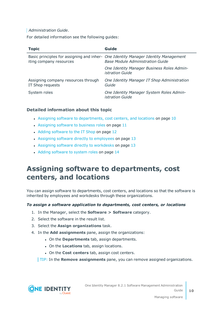#### *Administration Guide*.

For detailed information see the following guides:

| <b>Topic</b>                                            | Guide                                                                                                                         |
|---------------------------------------------------------|-------------------------------------------------------------------------------------------------------------------------------|
| iting company resources                                 | Basic principles for assigning and inher- One Identity Manager Identity Management<br><b>Base Module Administration Guide</b> |
|                                                         | One Identity Manager Business Roles Admin-<br><i>istration Guide</i>                                                          |
| Assigning company resources through<br>IT Shop requests | One Identity Manager IT Shop Administration<br>Guide                                                                          |
| System roles                                            | One Identity Manager System Roles Admin-<br><i>istration Guide</i>                                                            |

#### **Detailed information about this topic**

- Assigning software to [departments,](#page-9-0) cost centers, and locations on page 10
- [Assigning](#page-10-0) software to business roles on page  $11$
- Adding [software](#page-11-0) to the IT Shop on page 12
- Assigning software directly to [employees](#page-12-0) on page  $13$
- Assigning software directly to [workdesks](#page-12-1) on page  $13$
- Adding [software](#page-13-0) to system roles on page 14

### <span id="page-9-0"></span>**Assigning software to departments, cost centers, and locations**

You can assign software to departments, cost centers, and locations so that the software is inherited by employees and workdesks through these organizations.

#### *To assign a software application to departments, cost centers, or locations*

- 1. In the Manager, select the **Software > Software** category.
- 2. Select the software in the result list.
- 3. Select the **Assign organizations** task.
- 4. In the **Add assignments** pane, assign the organizations:
	- <sup>l</sup> On the **Departments** tab, assign departments.
	- **.** On the **Locations** tab, assign locations.
	- **.** On the **Cost centers** tab, assign cost centers.

TIP: In the **Remove assignments** pane, you can remove assigned organizations.

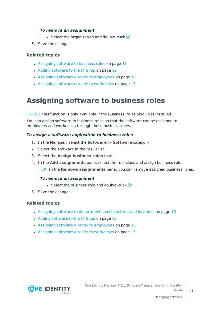#### *To remove an assignment*

- **Select the organization and double-click**  $\bigcirc$ **.**
- 5. Save the changes.

#### **Related topics**

- [Assigning](#page-10-0) software to business roles on page 11
- Adding [software](#page-11-0) to the IT Shop on page 12
- Assigning software directly to [employees](#page-12-0) on page  $13$
- Assigning software directly to [workdesks](#page-12-1) on page 13

### <span id="page-10-0"></span>**Assigning software to business roles**

NOTE: This function is only available if the Business Roles Module is installed.

You can assign software to business roles so that the software can be assigned to employees and workdesks through these business roles.

#### *To assign a software application to business roles*

- 1. In the Manager, select the **Software > Software** category.
- 2. Select the software in the result list.
- 3. Select the **Assign business roles** task.
- 4. In the **Add assignments** pane, select the role class and assign business roles.

TIP: In the **Remove assignments** pane, you can remove assigned business roles.

#### *To remove an assignment*

- **Select the business role and double-click**  $\odot$ **.**
- 5. Save the changes.

#### **Related topics**

- Assigning software to [departments,](#page-9-0) cost centers, and locations on page 10
- Adding [software](#page-11-0) to the IT Shop on page 12
- Assigning software directly to [employees](#page-12-0) on page  $13$
- Assigning software directly to [workdesks](#page-12-1) on page 13

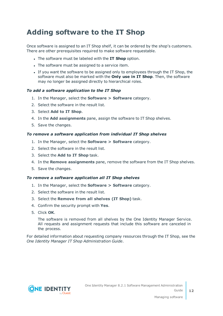## <span id="page-11-0"></span>**Adding software to the IT Shop**

Once software is assigned to an IT Shop shelf, it can be ordered by the shop's customers. There are other prerequisites required to make software requestable.

- <sup>l</sup> The software must be labeled with the **IT Shop** option.
- The software must be assigned to a service item.
- If you want the software to be assigned only to employees through the IT Shop, the software must also be marked with the **Only use in IT Shop**. Then, the software may no longer be assigned directly to hierarchical roles.

#### *To add a software application to the IT Shop*

- 1. In the Manager, select the **Software > Software** category.
- 2. Select the software in the result list.
- 3. Select **Add to IT Shop**.
- 4. In the **Add assignments** pane, assign the software to IT Shop shelves.
- 5. Save the changes.

#### *To remove a software application from individual IT Shop shelves*

- 1. In the Manager, select the **Software > Software** category.
- 2. Select the software in the result list.
- 3. Select the **Add to IT Shop** task.
- 4. In the **Remove assignments** pane, remove the software from the IT Shop shelves.
- 5. Save the changes.

#### *To remove a software application all IT Shop shelves*

- 1. In the Manager, select the **Software > Software** category.
- 2. Select the software in the result list.
- 3. Select the **Remove from all shelves (IT Shop)** task.
- 4. Confirm the security prompt with **Yes**.
- 5. Click **OK**.

The software is removed from all shelves by the One Identity Manager Service. All requests and assignment requests that include this software are canceled in the process.

For detailed information about requesting company resources through the IT Shop, see the *One Identity Manager IT Shop Administration Guide*.

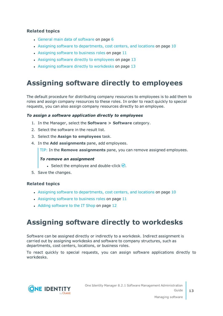#### **Related topics**

- General main data of [software](#page-5-0) on page 6
- Assigning software to [departments,](#page-9-0) cost centers, and locations on page 10
- [Assigning](#page-10-0) software to business roles on page 11
- Assigning software directly to [employees](#page-12-0) on page  $13$
- Assigning software directly to [workdesks](#page-12-1) on page  $13$

### <span id="page-12-0"></span>**Assigning software directly to employees**

The default procedure for distributing company resources to employees is to add them to roles and assign company resources to these roles. In order to react quickly to special requests, you can also assign company resources directly to an employee.

#### *To assign a software application directly to employees*

- 1. In the Manager, select the **Software > Software** category.
- 2. Select the software in the result list.
- 3. Select the **Assign to employees** task.
- 4. In the **Add assignments** pane, add employees.

TIP: In the **Remove assignments** pane, you can remove assigned employees.

#### *To remove an assignment*

- Select the employee and double-click  $\bigcirc$ .
- 5. Save the changes.

#### **Related topics**

- Assigning software to [departments,](#page-9-0) cost centers, and locations on page 10
- [Assigning](#page-10-0) software to business roles on page 11
- Adding [software](#page-11-0) to the IT Shop on page 12

### <span id="page-12-1"></span>**Assigning software directly to workdesks**

Software can be assigned directly or indirectly to a workdesk. Indirect assignment is carried out by assigning workdesks and software to company structures, such as departments, cost centers, locations, or business roles.

To react quickly to special requests, you can assign software applications directly to workdesks.

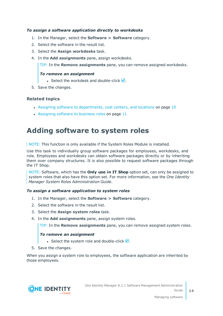#### *To assign a software application directly to workdesks*

- 1. In the Manager, select the **Software > Software** category.
- 2. Select the software in the result list.
- 3. Select the **Assign workdesks** task.
- 4. In the **Add assignments** pane, assign workdesks.

TIP: In the **Remove assignments** pane, you can remove assigned workdesks.

#### *To remove an assignment*

- **Select the workdesk and double-click**  $\odot$ **.**
- 5. Save the changes.

#### **Related topics**

- Assigning software to [departments,](#page-9-0) cost centers, and locations on page 10
- [Assigning](#page-10-0) software to business roles on page  $11$

### <span id="page-13-0"></span>**Adding software to system roles**

NOTE: This function is only available if the System Roles Module is installed.

Use this task to individually group software packages for employees, workdesks, and role. Employees and workdesks can obtain software packages directly or by inheriting them over company structures. It is also possible to request software packages through the IT Shop.

NOTE: Software, which has the **Only use in IT Shop** option set, can only be assigned to system roles that also have this option set. For more information, see the *One Identity Manager System Roles Administration Guide*.

#### *To assign a software application to system roles*

- 1. In the Manager, select the **Software > Software** category.
- 2. Select the software in the result list.
- 3. Select the **Assign system roles** task.
- 4. In the **Add assignments** pane, assign system roles.

TIP: In the **Remove assignments** pane, you can remove assigned system roles.

#### *To remove an assignment*

- **Select the system role and double-click**  $\bigcirc$ **.**
- 5. Save the changes.

When you assign a system role to employees, the software application are inherited by those employees.

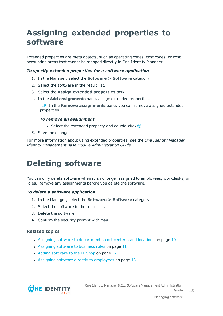## <span id="page-14-0"></span>**Assigning extended properties to software**

Extended properties are meta objects, such as operating codes, cost codes, or cost accounting areas that cannot be mapped directly in One Identity Manager.

#### *To specify extended properties for a software application*

- 1. In the Manager, select the **Software > Software** category.
- 2. Select the software in the result list.
- 3. Select the **Assign extended properties** task.
- 4. In the **Add assignments** pane, assign extended properties.

TIP: In the **Remove assignments** pane, you can remove assigned extended properties.

#### *To remove an assignment*

- **Select the extended property and double-click**  $\bigcirc$ **.**
- 5. Save the changes.

For more information about using extended properties, see the *One Identity Manager Identity Management Base Module Administration Guide*.

## <span id="page-14-1"></span>**Deleting software**

You can only delete software when it is no longer assigned to employees, workdesks, or roles. Remove any assignments before you delete the software.

#### *To delete a software application*

- 1. In the Manager, select the **Software > Software** category.
- 2. Select the software in the result list.
- 3. Delete the software.
- 4. Confirm the security prompt with **Yes**.

#### **Related topics**

- Assigning software to [departments,](#page-9-0) cost centers, and locations on page 10
- [Assigning](#page-10-0) software to business roles on page  $11$
- Adding [software](#page-11-0) to the IT Shop on page 12
- Assigning software directly to [employees](#page-12-0) on page  $13$



One Identity Manager 8.2.1 Software Management Administration Guide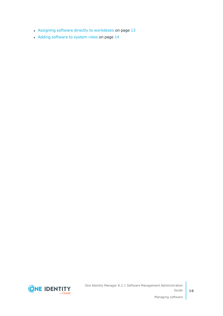- Assigning software directly to [workdesks](#page-12-1) on page  $13$
- Adding [software](#page-13-0) to system roles on page 14

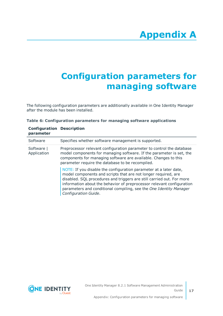# **Appendix A**

## <span id="page-16-0"></span>**Appendix:Configuration parameters for managing software**

The following configuration parameters are additionally available in One Identity Manager after the module has been installed.

| Table 6: Configuration parameters for managing software applications |  |  |  |  |
|----------------------------------------------------------------------|--|--|--|--|
|----------------------------------------------------------------------|--|--|--|--|

| <b>Configuration Description</b><br>parameter |                                                                                                                                                                                                                                                                                                                                                                                     |
|-----------------------------------------------|-------------------------------------------------------------------------------------------------------------------------------------------------------------------------------------------------------------------------------------------------------------------------------------------------------------------------------------------------------------------------------------|
| Software                                      | Specifies whether software management is supported.                                                                                                                                                                                                                                                                                                                                 |
| Software  <br>Application                     | Preprocessor relevant configuration parameter to control the database<br>model components for managing software. If the parameter is set, the<br>components for managing software are available. Changes to this<br>parameter require the database to be recompiled.                                                                                                                |
|                                               | NOTE: If you disable the configuration parameter at a later date,<br>model components and scripts that are not longer required, are<br>disabled. SQL procedures and triggers are still carried out. For more<br>information about the behavior of preprocessor relevant configuration<br>parameters and conditional compiling, see the One Identity Manager<br>Configuration Guide. |

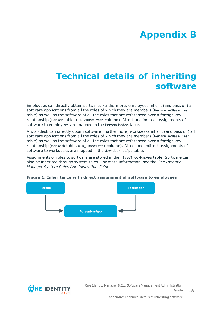## <span id="page-17-0"></span>**Appendix:Technical details of inheriting software**

Employees can directly obtain software. Furthermore, employees inherit (and pass on) all software applications from all the roles of which they are members (PersonIn<BaseTree> table) as well as the software of all the roles that are referenced over a foreign key relationship (Person table, UID\_<BaseTree> column). Direct and indirect assignments of software to employees are mapped in the PersonHasApp table.

A workdesk can directly obtain software. Furthermore, workdesks inherit (and pass on) all software applications from all the roles of which they are members (PersonIn<BaseTree> table) as well as the software of all the roles that are referenced over a foreign key relationship (Workesk table, UID <BaseTree> column). Direct and indirect assignments of software to workdesks are mapped in the WorkdeskhasApp table.

Assignments of roles to software are stored in the <BaseTree>HasApp table. Software can also be inherited through system roles. For more information, see the *One Identity Manager System Roles Administration Guide*.



#### **Figure 1: Inheritance with direct assignment of software to employees**

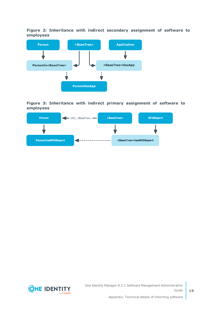**Figure 2: Inheritance with indirect secondary assignment of software to employees**



**Figure 3: Inheritance with indirect primary assignment of software to employees**





One Identity Manager 8.2.1 Software Management Administration Guide

Appendix: Technical details of inheriting software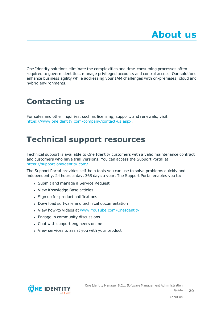<span id="page-19-0"></span>One Identity solutions eliminate the complexities and time-consuming processes often required to govern identities, manage privileged accounts and control access. Our solutions enhance business agility while addressing your IAM challenges with on-premises, cloud and hybrid environments.

## <span id="page-19-1"></span>**Contacting us**

For sales and other inquiries, such as licensing, support, and renewals, visit <https://www.oneidentity.com/company/contact-us.aspx>.

## <span id="page-19-2"></span>**Technical support resources**

Technical support is available to One Identity customers with a valid maintenance contract and customers who have trial versions. You can access the Support Portal at [https://support.oneidentity.com/.](https://support.oneidentity.com/)

The Support Portal provides self-help tools you can use to solve problems quickly and independently, 24 hours a day, 365 days a year. The Support Portal enables you to:

- Submit and manage a Service Request
- View Knowledge Base articles
- Sign up for product notifications
- Download software and technical documentation
- View how-to videos at [www.YouTube.com/OneIdentity](http://www.youtube.com/OneIdentity)
- Engage in community discussions
- Chat with support engineers online
- View services to assist you with your product